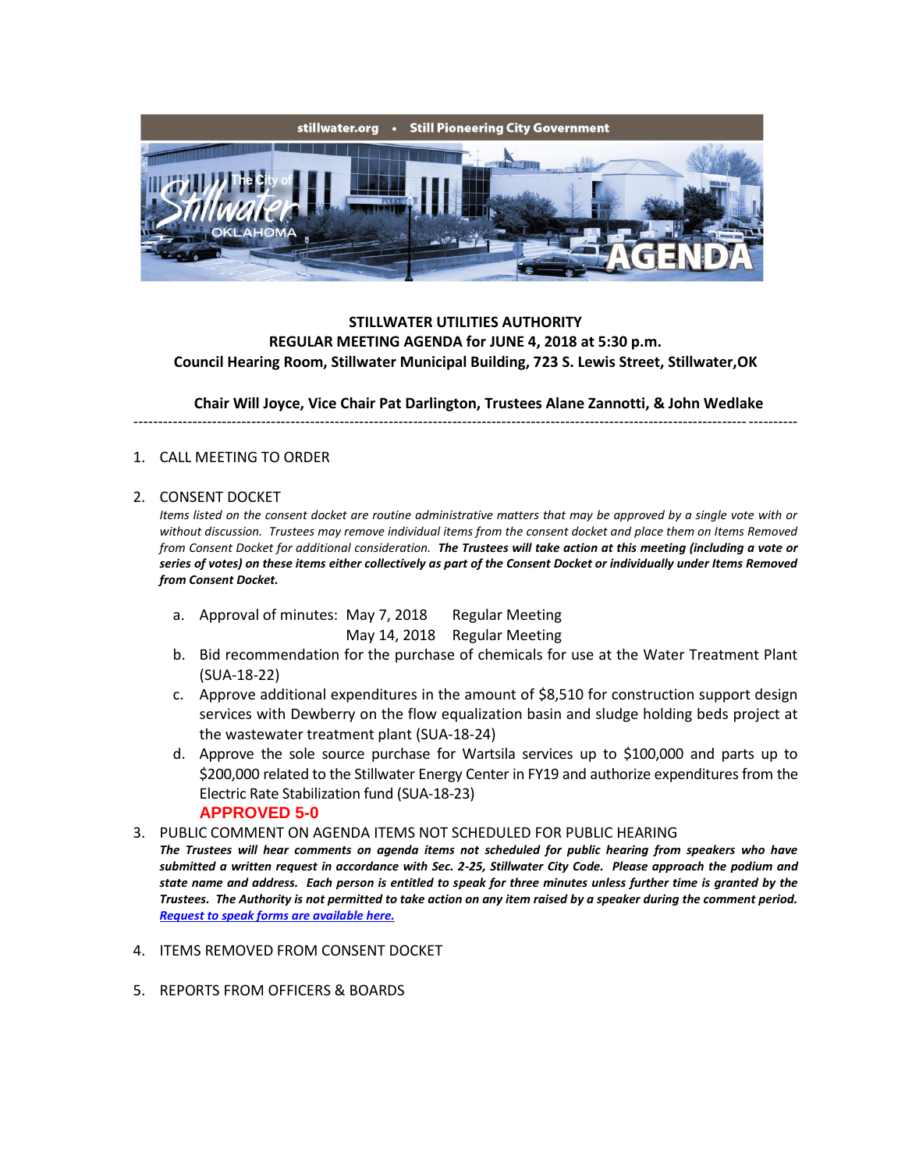

## **STILLWATER UTILITIES AUTHORITY REGULAR MEETING AGENDA for JUNE 4, 2018 at 5:30 p.m. Council Hearing Room, Stillwater Municipal Building, 723 S. Lewis Street, Stillwater,OK**

**Chair Will Joyce, Vice Chair Pat Darlington, Trustees Alane Zannotti, & John Wedlake**

---------------------------------------------------------------------------------------------------------------------------------------

## 1. CALL MEETING TO ORDER

## 2. CONSENT DOCKET

*Items listed on the consent docket are routine administrative matters that may be approved by a single vote with or without discussion. Trustees may remove individual items from the consent docket and place them on Items Removed from Consent Docket for additional consideration. The Trustees will take action at this meeting (including a vote or series of votes) on these items either collectively as part of the Consent Docket or individually under Items Removed from Consent Docket.*

- a. Approval of minutes: May 7, 2018 Regular Meeting May 14, 2018 Regular Meeting
- b. Bid recommendation for the purchase of chemicals for use at the Water Treatment Plant (SUA-18-22)
- c. Approve additional expenditures in the amount of \$8,510 for construction support design services with Dewberry on the flow equalization basin and sludge holding beds project at the wastewater treatment plant (SUA-18-24)
- d. Approve the sole source purchase for Wartsila services up to \$100,000 and parts up to \$200,000 related to the Stillwater Energy Center in FY19 and authorize expenditures from the Electric Rate Stabilization fund (SUA-18-23) **APPROVED 5-0**
- 3. PUBLIC COMMENT ON AGENDA ITEMS NOT SCHEDULED FOR PUBLIC HEARING

*The Trustees will hear comments on agenda items not scheduled for public hearing from speakers who have submitted a written request in accordance with Sec. 2-25, Stillwater City Code. Please approach the podium and state name and address. Each person is entitled to speak for three minutes unless further time is granted by the Trustees. The Authority is not permitted to take action on any item raised by a speaker during the comment period. [Request to speak forms are available here.](http://stillwater.org/document/request_to_speak_at_city_council.php)*

- 4. ITEMS REMOVED FROM CONSENT DOCKET
- 5. REPORTS FROM OFFICERS & BOARDS